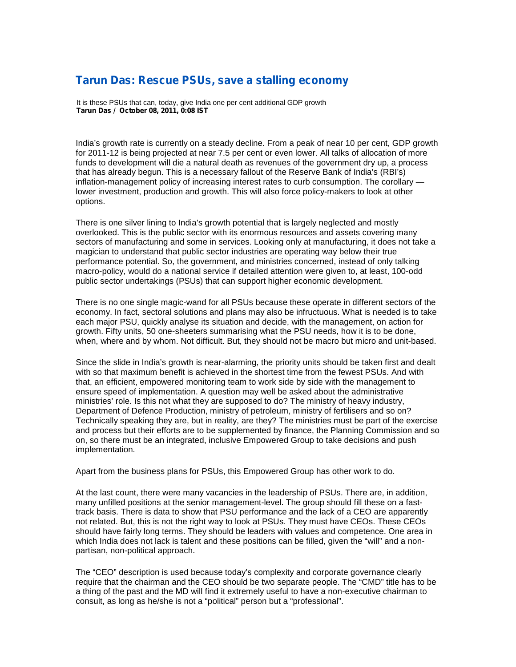## **Tarun Das: Rescue PSUs, save a stalling economy**

It is these PSUs that can, today, give India one per cent additional GDP growth **Tarun Das / October 08, 2011, 0:08 IST**

India's growth rate is currently on a steady decline. From a peak of near 10 per cent, GDP growth for 2011-12 is being projected at near 7.5 per cent or even lower. All talks of allocation of more funds to development will die a natural death as revenues of the government dry up, a process that has already begun. This is a necessary fallout of the Reserve Bank of India's (RBI's) inflation-management policy of increasing interest rates to curb consumption. The corollary lower investment, production and growth. This will also force policy-makers to look at other options.

There is one silver lining to India's growth potential that is largely neglected and mostly overlooked. This is the public sector with its enormous resources and assets covering many sectors of manufacturing and some in services. Looking only at manufacturing, it does not take a magician to understand that public sector industries are operating way below their true performance potential. So, the government, and ministries concerned, instead of only talking macro-policy, would do a national service if detailed attention were given to, at least, 100-odd public sector undertakings (PSUs) that can support higher economic development.

There is no one single magic-wand for all PSUs because these operate in different sectors of the economy. In fact, sectoral solutions and plans may also be infructuous. What is needed is to take each major PSU, quickly analyse its situation and decide, with the management, on action for growth. Fifty units, 50 one-sheeters summarising what the PSU needs, how it is to be done, when, where and by whom. Not difficult. But, they should not be macro but micro and unit-based.

Since the slide in India's growth is near-alarming, the priority units should be taken first and dealt with so that maximum benefit is achieved in the shortest time from the fewest PSUs. And with that, an efficient, empowered monitoring team to work side by side with the management to ensure speed of implementation. A question may well be asked about the administrative ministries' role. Is this not what they are supposed to do? The ministry of heavy industry, Department of Defence Production, ministry of petroleum, ministry of fertilisers and so on? Technically speaking they are, but in reality, are they? The ministries must be part of the exercise and process but their efforts are to be supplemented by finance, the Planning Commission and so on, so there must be an integrated, inclusive Empowered Group to take decisions and push implementation.

Apart from the business plans for PSUs, this Empowered Group has other work to do.

At the last count, there were many vacancies in the leadership of PSUs. There are, in addition, many unfilled positions at the senior management-level. The group should fill these on a fasttrack basis. There is data to show that PSU performance and the lack of a CEO are apparently not related. But, this is not the right way to look at PSUs. They must have CEOs. These CEOs should have fairly long terms. They should be leaders with values and competence. One area in which India does not lack is talent and these positions can be filled, given the "will" and a non partisan, non-political approach.

The "CEO" description is used because today's complexity and corporate governance clearly require that the chairman and the CEO should be two separate people. The "CMD" title has to be a thing of the past and the MD will find it extremely useful to have a non-executive chairman to consult, as long as he/she is not a "political" person but a "professional".